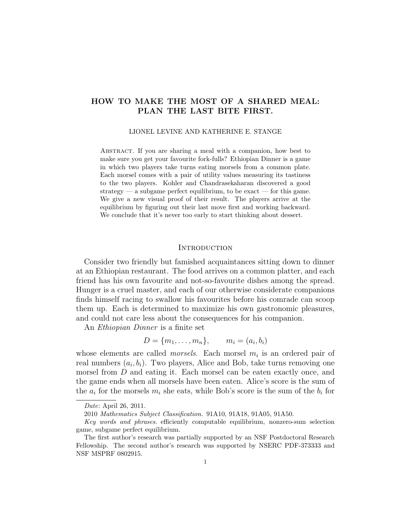# HOW TO MAKE THE MOST OF A SHARED MEAL: PLAN THE LAST BITE FIRST.

#### LIONEL LEVINE AND KATHERINE E. STANGE

Abstract. If you are sharing a meal with a companion, how best to make sure you get your favourite fork-fulls? Ethiopian Dinner is a game in which two players take turns eating morsels from a common plate. Each morsel comes with a pair of utility values measuring its tastiness to the two players. Kohler and Chandrasekaharan discovered a good strategy — a subgame perfect equilibrium, to be exact — for this game. We give a new visual proof of their result. The players arrive at the equilibrium by figuring out their last move first and working backward. We conclude that it's never too early to start thinking about dessert.

#### **INTRODUCTION**

Consider two friendly but famished acquaintances sitting down to dinner at an Ethiopian restaurant. The food arrives on a common platter, and each friend has his own favourite and not-so-favourite dishes among the spread. Hunger is a cruel master, and each of our otherwise considerate companions finds himself racing to swallow his favourites before his comrade can scoop them up. Each is determined to maximize his own gastronomic pleasures, and could not care less about the consequences for his companion.

An Ethiopian Dinner is a finite set

$$
D = \{m_1, \ldots, m_n\}, \qquad m_i = (a_i, b_i)
$$

whose elements are called *morsels*. Each morsel  $m_i$  is an ordered pair of real numbers  $(a_i, b_i)$ . Two players, Alice and Bob, take turns removing one morsel from D and eating it. Each morsel can be eaten exactly once, and the game ends when all morsels have been eaten. Alice's score is the sum of the  $a_i$  for the morsels  $m_i$  she eats, while Bob's score is the sum of the  $b_i$  for

Date: April 26, 2011.

<sup>2010</sup> Mathematics Subject Classification. 91A10, 91A18, 91A05, 91A50.

Key words and phrases. efficiently computable equilibrium, nonzero-sum selection game, subgame perfect equilibrium.

The first author's research was partially supported by an NSF Postdoctoral Research Fellowship. The second author's research was supported by NSERC PDF-373333 and NSF MSPRF 0802915.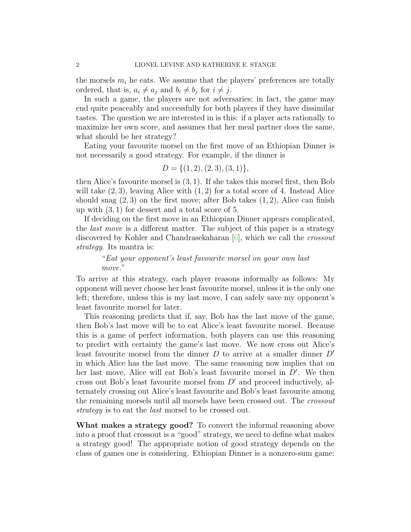the morsels  $m_i$  he eats. We assume that the players' preferences are totally ordered, that is,  $a_i \neq a_j$  and  $b_i \neq b_j$  for  $i \neq j$ .

In such a game, the players are not adversaries; in fact, the game may end quite peaceably and successfully for both players if they have dissimilar tastes. The question we are interested in is this: if a player acts rationally to maximize her own score, and assumes that her meal partner does the same, what should be her strategy?

Eating your favourite morsel on the first move of an Ethiopian Dinner is not necessarily a good strategy. For example, if the dinner is

$$
D = \{(1, 2), (2, 3), (3, 1)\},\
$$

then Alice's favourite morsel is (3, 1). If she takes this morsel first, then Bob will take  $(2, 3)$ , leaving Alice with  $(1, 2)$  for a total score of 4. Instead Alice should snag  $(2,3)$  on the first move; after Bob takes  $(1,2)$ , Alice can finish up with (3, 1) for dessert and a total score of 5.

If deciding on the first move in an Ethiopian Dinner appears complicated, the last move is a different matter. The subject of this paper is a strategy discovered by Kohler and Chandrasekaharan  $[6]$ , which we call the *crossout* strategy. Its mantra is:

"Eat your opponent's least favourite morsel on your own last move."

To arrive at this strategy, each player reasons informally as follows: My opponent will never choose her least favourite morsel, unless it is the only one left; therefore, unless this is my last move, I can safely save my opponent's least favourite morsel for later.

This reasoning predicts that if, say, Bob has the last move of the game, then Bob's last move will be to eat Alice's least favourite morsel. Because this is a game of perfect information, both players can use this reasoning to predict with certainty the game's last move. We now cross out Alice's least favourite morsel from the dinner  $D$  to arrive at a smaller dinner  $D'$ in which Alice has the last move. The same reasoning now implies that on her last move, Alice will eat Bob's least favourite morsel in  $D'$ . We then cross out Bob's least favourite morsel from  $D'$  and proceed inductively, alternately crossing out Alice's least favourite and Bob's least favourite among the remaining morsels until all morsels have been crossed out. The crossout strategy is to eat the *last* morsel to be crossed out.

What makes a strategy good? To convert the informal reasoning above into a proof that crossout is a "good" strategy, we need to define what makes a strategy good! The appropriate notion of good strategy depends on the class of games one is considering. Ethiopian Dinner is a nonzero-sum game: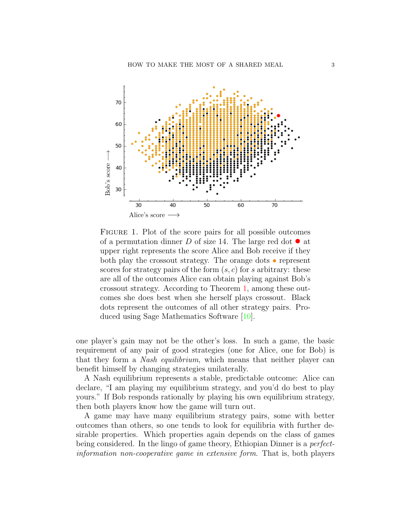

<span id="page-2-0"></span>FIGURE 1. Plot of the score pairs for all possible outcomes of a permutation dinner D of size 14. The large red dot  $\bullet$  at upper right represents the score Alice and Bob receive if they both play the crossout strategy. The orange dots • represent scores for strategy pairs of the form  $(s, c)$  for s arbitrary: these are all of the outcomes Alice can obtain playing against Bob's crossout strategy. According to Theorem [1,](#page-3-0) among these outcomes she does best when she herself plays crossout. Black dots represent the outcomes of all other strategy pairs. Produced using Sage Mathematics Software [\[10\]](#page-16-1).

one player's gain may not be the other's loss. In such a game, the basic requirement of any pair of good strategies (one for Alice, one for Bob) is that they form a Nash equilibrium, which means that neither player can benefit himself by changing strategies unilaterally.

A Nash equilibrium represents a stable, predictable outcome: Alice can declare, "I am playing my equilibrium strategy, and you'd do best to play yours." If Bob responds rationally by playing his own equilibrium strategy, then both players know how the game will turn out.

A game may have many equilibrium strategy pairs, some with better outcomes than others, so one tends to look for equilibria with further desirable properties. Which properties again depends on the class of games being considered. In the lingo of game theory, Ethiopian Dinner is a perfectinformation non-cooperative game in extensive form. That is, both players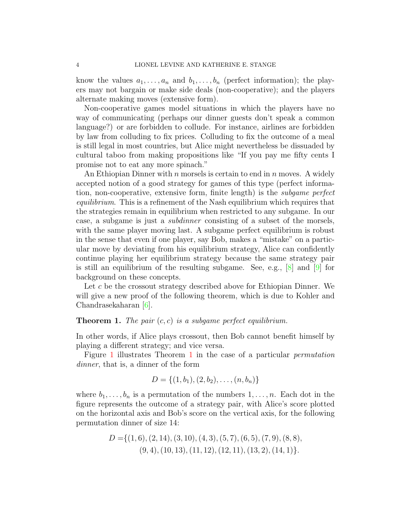know the values  $a_1, \ldots, a_n$  and  $b_1, \ldots, b_n$  (perfect information); the players may not bargain or make side deals (non-cooperative); and the players alternate making moves (extensive form).

Non-cooperative games model situations in which the players have no way of communicating (perhaps our dinner guests don't speak a common language?) or are forbidden to collude. For instance, airlines are forbidden by law from colluding to fix prices. Colluding to fix the outcome of a meal is still legal in most countries, but Alice might nevertheless be dissuaded by cultural taboo from making propositions like "If you pay me fifty cents I promise not to eat any more spinach."

An Ethiopian Dinner with  $n$  morsels is certain to end in  $n$  moves. A widely accepted notion of a good strategy for games of this type (perfect information, non-cooperative, extensive form, finite length) is the subgame perfect equilibrium. This is a refinement of the Nash equilibrium which requires that the strategies remain in equilibrium when restricted to any subgame. In our case, a subgame is just a subdinner consisting of a subset of the morsels, with the same player moving last. A subgame perfect equilibrium is robust in the sense that even if one player, say Bob, makes a "mistake" on a particular move by deviating from his equilibrium strategy, Alice can confidently continue playing her equilibrium strategy because the same strategy pair is still an equilibrium of the resulting subgame. See, e.g.,  $[8]$  and  $[9]$  for background on these concepts.

Let c be the crossout strategy described above for Ethiopian Dinner. We will give a new proof of the following theorem, which is due to Kohler and Chandrasekaharan [\[6\]](#page-16-0).

# <span id="page-3-0"></span>**Theorem 1.** The pair  $(c, c)$  is a subgame perfect equilibrium.

In other words, if Alice plays crossout, then Bob cannot benefit himself by playing a different strategy; and vice versa.

Figure [1](#page-2-0) illustrates Theorem [1](#page-3-0) in the case of a particular permutation dinner, that is, a dinner of the form

$$
D = \{(1, b_1), (2, b_2), \ldots, (n, b_n)\}
$$

where  $b_1, \ldots, b_n$  is a permutation of the numbers  $1, \ldots, n$ . Each dot in the figure represents the outcome of a strategy pair, with Alice's score plotted on the horizontal axis and Bob's score on the vertical axis, for the following permutation dinner of size 14:

$$
D = \{(1,6), (2,14), (3,10), (4,3), (5,7), (6,5), (7,9), (8,8), (9,4), (10,13), (11,12), (12,11), (13,2), (14,1)\}.
$$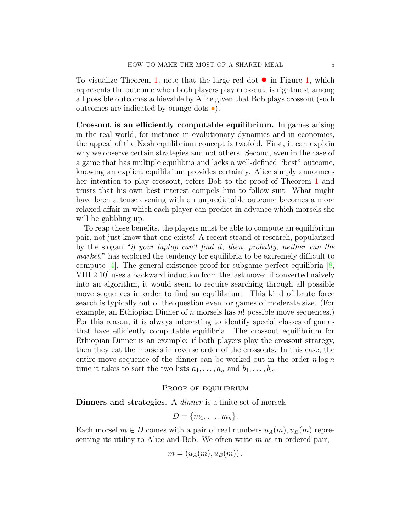To visualize Theorem [1,](#page-2-0) note that the large red dot  $\bullet$  in Figure 1, which represents the outcome when both players play crossout, is rightmost among all possible outcomes achievable by Alice given that Bob plays crossout (such outcomes are indicated by orange dots •).

Crossout is an efficiently computable equilibrium. In games arising in the real world, for instance in evolutionary dynamics and in economics, the appeal of the Nash equilibrium concept is twofold. First, it can explain why we observe certain strategies and not others. Second, even in the case of a game that has multiple equilibria and lacks a well-defined "best" outcome, knowing an explicit equilibrium provides certainty. Alice simply announces her intention to play crossout, refers Bob to the proof of Theorem [1](#page-3-0) and trusts that his own best interest compels him to follow suit. What might have been a tense evening with an unpredictable outcome becomes a more relaxed affair in which each player can predict in advance which morsels she will be gobbling up.

To reap these benefits, the players must be able to compute an equilibrium pair, not just know that one exists! A recent strand of research, popularized by the slogan "if your laptop can't find it, then, probably, neither can the market," has explored the tendency for equilibria to be extremely difficult to compute  $[4]$ . The general existence proof for subgame perfect equilibria  $[8]$ , VIII.2.10] uses a backward induction from the last move: if converted naively into an algorithm, it would seem to require searching through all possible move sequences in order to find an equilibrium. This kind of brute force search is typically out of the question even for games of moderate size. (For example, an Ethiopian Dinner of  $n$  morsels has  $n!$  possible move sequences.) For this reason, it is always interesting to identify special classes of games that have efficiently computable equilibria. The crossout equilibrium for Ethiopian Dinner is an example: if both players play the crossout strategy, then they eat the morsels in reverse order of the crossouts. In this case, the entire move sequence of the dinner can be worked out in the order  $n \log n$ time it takes to sort the two lists  $a_1, \ldots, a_n$  and  $b_1, \ldots, b_n$ .

# PROOF OF EQUILIBRIUM

Dinners and strategies. A *dinner* is a finite set of morsels

$$
D = \{m_1, \ldots, m_n\}.
$$

Each morsel  $m \in D$  comes with a pair of real numbers  $u_A(m), u_B(m)$  representing its utility to Alice and Bob. We often write  $m$  as an ordered pair,

$$
m=(u_A(m),u_B(m))\,.
$$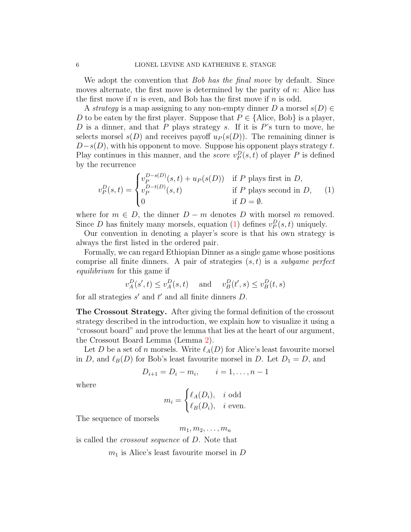We adopt the convention that *Bob has the final move* by default. Since moves alternate, the first move is determined by the parity of  $n$ : Alice has the first move if n is even, and Bob has the first move if n is odd.

A strategy is a map assigning to any non-empty dinner D a morsel  $s(D) \in$ D to be eaten by the first player. Suppose that  $P \in \{\text{Alice, Bob}\}\$ is a player, D is a dinner, and that P plays strategy s. If it is  $P$ 's turn to move, he selects morsel  $s(D)$  and receives payoff  $u_P(s(D))$ . The remaining dinner is  $D-s(D)$ , with his opponent to move. Suppose his opponent plays strategy t. Play continues in this manner, and the *score*  $v_P^D(s, t)$  of player P is defined by the recurrence

<span id="page-5-0"></span>
$$
v_P^D(s,t) = \begin{cases} v_P^{D-s(D)}(s,t) + u_P(s(D)) & \text{if } P \text{ plays first in } D, \\ v_P^{D-t(D)}(s,t) & \text{if } P \text{ plays second in } D, \\ 0 & \text{if } D = \emptyset. \end{cases}
$$
 (1)

where for  $m \in D$ , the dinner  $D - m$  denotes D with morsel m removed. Since D has finitely many morsels, equation [\(1\)](#page-5-0) defines  $v_P^D(s, t)$  uniquely.

Our convention in denoting a player's score is that his own strategy is always the first listed in the ordered pair.

Formally, we can regard Ethiopian Dinner as a single game whose positions comprise all finite dinners. A pair of strategies  $(s, t)$  is a subgame perfect equilibrium for this game if

$$
v_A^D(s',t) \le v_A^D(s,t)
$$
 and  $v_B^D(t',s) \le v_B^D(t,s)$ 

for all strategies  $s'$  and  $t'$  and all finite dinners  $D$ .

The Crossout Strategy. After giving the formal definition of the crossout strategy described in the introduction, we explain how to visualize it using a "crossout board" and prove the lemma that lies at the heart of our argument, the Crossout Board Lemma (Lemma [2\)](#page-7-0).

Let D be a set of n morsels. Write  $\ell_A(D)$  for Alice's least favourite morsel in D, and  $\ell_B(D)$  for Bob's least favourite morsel in D. Let  $D_1 = D$ , and

$$
D_{i+1} = D_i - m_i, \qquad i = 1, \dots, n-1
$$

where

$$
m_i = \begin{cases} \ell_A(D_i), & i \text{ odd} \\ \ell_B(D_i), & i \text{ even.} \end{cases}
$$

The sequence of morsels

$$
m_1, m_2, \ldots, m_n
$$

is called the crossout sequence of D. Note that

 $m_1$  is Alice's least favourite morsel in D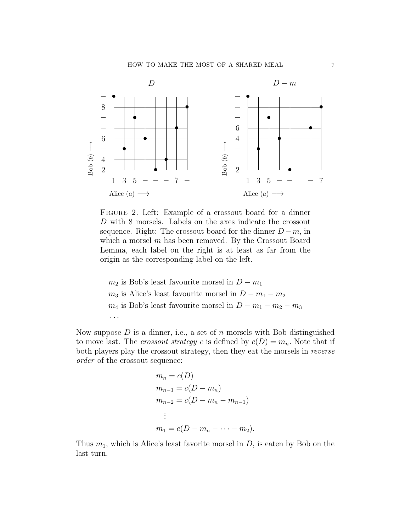### HOW TO MAKE THE MOST OF A SHARED MEAL 7



<span id="page-6-0"></span>FIGURE 2. Left: Example of a crossout board for a dinner D with 8 morsels. Labels on the axes indicate the crossout sequence. Right: The crossout board for the dinner  $D - m$ , in which a morsel m has been removed. By the Crossout Board Lemma, each label on the right is at least as far from the origin as the corresponding label on the left.

 $m_2$  is Bob's least favourite morsel in  $D - m_1$  $m_3$  is Alice's least favourite morsel in  $D - m_1 - m_2$  $m_4$  is Bob's least favourite morsel in  $D - m_1 - m_2 - m_3$ · · ·

Now suppose  $D$  is a dinner, i.e., a set of  $n$  morsels with Bob distinguished to move last. The *crossout strategy* c is defined by  $c(D) = m_n$ . Note that if both players play the crossout strategy, then they eat the morsels in reverse order of the crossout sequence:

$$
m_n = c(D)
$$
  
\n
$$
m_{n-1} = c(D - m_n)
$$
  
\n
$$
m_{n-2} = c(D - m_n - m_{n-1})
$$
  
\n
$$
\vdots
$$
  
\n
$$
m_1 = c(D - m_n - \dots - m_2).
$$

Thus  $m_1$ , which is Alice's least favorite morsel in  $D$ , is eaten by Bob on the last turn.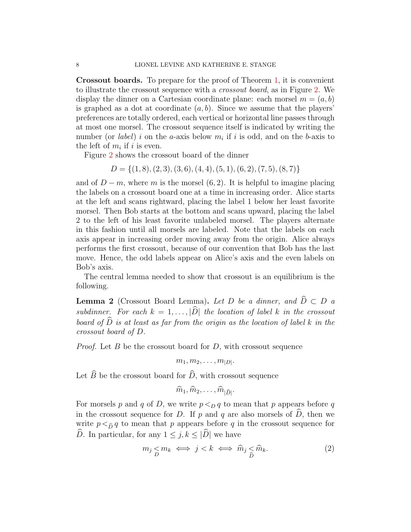Crossout boards. To prepare for the proof of Theorem [1,](#page-3-0) it is convenient to illustrate the crossout sequence with a crossout board, as in Figure [2.](#page-6-0) We display the dinner on a Cartesian coordinate plane: each morsel  $m = (a, b)$ is graphed as a dot at coordinate  $(a, b)$ . Since we assume that the players' preferences are totally ordered, each vertical or horizontal line passes through at most one morsel. The crossout sequence itself is indicated by writing the number (or *label*) i on the a-axis below  $m_i$  if i is odd, and on the b-axis to the left of  $m_i$  if i is even.

Figure [2](#page-6-0) shows the crossout board of the dinner

 $D = \{(1, 8), (2, 3), (3, 6), (4, 4), (5, 1), (6, 2), (7, 5), (8, 7)\}\$ 

and of  $D - m$ , where m is the morsel (6, 2). It is helpful to imagine placing the labels on a crossout board one at a time in increasing order. Alice starts at the left and scans rightward, placing the label 1 below her least favorite morsel. Then Bob starts at the bottom and scans upward, placing the label 2 to the left of his least favorite unlabeled morsel. The players alternate in this fashion until all morsels are labeled. Note that the labels on each axis appear in increasing order moving away from the origin. Alice always performs the first crossout, because of our convention that Bob has the last move. Hence, the odd labels appear on Alice's axis and the even labels on Bob's axis.

The central lemma needed to show that crossout is an equilibrium is the following.

<span id="page-7-0"></span>**Lemma 2** (Crossout Board Lemma). Let D be a dinner, and  $\widehat{D} \subset D$  a subdinner. For each  $k = 1, \ldots, |\widehat{D}|$  the location of label k in the crossout board of  $\widehat{D}$  is at least as far from the origin as the location of label k in the crossout board of D.

*Proof.* Let  $B$  be the crossout board for  $D$ , with crossout sequence

$$
m_1, m_2, \ldots, m_{|D|}.
$$

Let  $\widehat{B}$  be the crossout board for  $\widehat{D}$ , with crossout sequence

$$
\widehat{m}_1, \widehat{m}_2, \ldots, \widehat{m}_{|\widehat{D}|}.
$$

For morsels p and q of D, we write  $p \leq_D q$  to mean that p appears before q in the crossout sequence for D. If p and q are also morsels of  $\hat{D}$ , then we write  $p <_{\widehat{D}} q$  to mean that p appears before q in the crossout sequence for  $\widehat{D}$ . In particular, for any  $1 \leq j, k \leq |\widehat{D}|$  we have

<span id="page-7-1"></span>
$$
m_j \underset{D}{\leq} m_k \iff j < k \iff \widehat{m}_j \underset{\widehat{D}}{\leq} \widehat{m}_k. \tag{2}
$$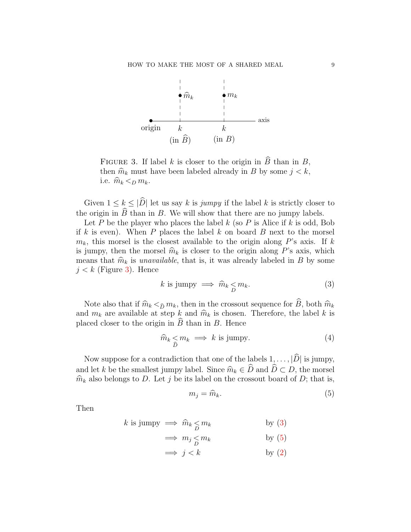

<span id="page-8-0"></span>FIGURE 3. If label k is closer to the origin in  $\widehat{B}$  than in B, then  $\hat{m}_k$  must have been labeled already in B by some  $j < k$ , i.e.  $\widehat{m}_k <_D m_k$ .

Given  $1 \leq k \leq |\widehat{D}|$  let us say k is jumpy if the label k is strictly closer to the origin in  $\widehat{B}$  than in B. We will show that there are no jumpy labels.

Let P be the player who places the label  $k$  (so P is Alice if  $k$  is odd, Bob if k is even). When  $P$  places the label  $k$  on board  $B$  next to the morsel  $m_k$ , this morsel is the closest available to the origin along P's axis. If k is jumpy, then the morsel  $\hat{m}_k$  is closer to the origin along P's axis, which means that  $\hat{m}_k$  is unavailable, that is, it was already labeled in B by some  $j < k$  (Figure [3\)](#page-8-0). Hence

<span id="page-8-1"></span>
$$
k \text{ is jumpy} \implies \widehat{m}_k \leq m_k. \tag{3}
$$

Note also that if  $\hat{m}_k <_{\hat{D}} m_k$ , then in the crossout sequence for  $\hat{B}$ , both  $\hat{m}_k$ and  $m_k$  are available at step k and  $\hat{m}_k$  is chosen. Therefore, the label k is placed closer to the origin in  $\hat{B}$  than in B. Hence

<span id="page-8-3"></span>
$$
\widehat{m}_k \le m_k \implies k \text{ is jump.} \tag{4}
$$

Now suppose for a contradiction that one of the labels  $1, \ldots, |\widehat{D}|$  is jumpy, and let k be the smallest jumpy label. Since  $\widehat{m}_k \in \widehat{D}$  and  $\widehat{D} \subset D$ , the morsel  $\hat{m}_k$  also belongs to D. Let j be its label on the crossout board of D; that is,

<span id="page-8-2"></span>
$$
m_j = \widehat{m}_k. \tag{5}
$$

Then

k is jumpy 
$$
\implies \widehat{m}_k \leq m_k
$$
 by (3)

$$
\implies m_j \le m_k \qquad \qquad \text{by (5)}
$$

 $\Rightarrow j < k$  by [\(2\)](#page-7-1)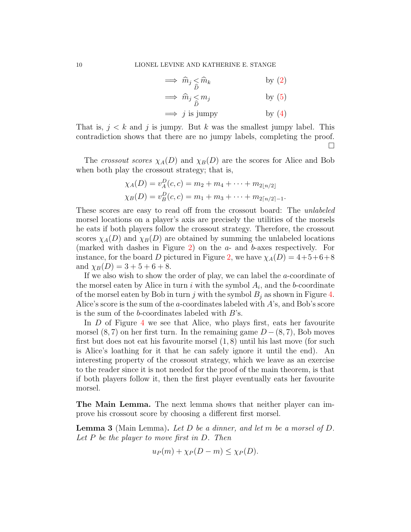$$
\implies \widehat{m}_j \leq \widehat{m}_k \qquad \qquad \text{by (2)}
$$
  

$$
\implies \widehat{m}_j \leq m_j \qquad \qquad \text{by (5)}
$$

 $\implies j$  is jumpy by [\(4\)](#page-8-3)

That is,  $j < k$  and j is jumpy. But k was the smallest jumpy label. This contradiction shows that there are no jumpy labels, completing the proof.  $\Box$ 

The crossout scores  $\chi_A(D)$  and  $\chi_B(D)$  are the scores for Alice and Bob when both play the crossout strategy; that is,

$$
\chi_A(D) = v_A^D(c, c) = m_2 + m_4 + \dots + m_{2\lfloor n/2 \rfloor}
$$
  

$$
\chi_B(D) = v_B^D(c, c) = m_1 + m_3 + \dots + m_{2\lfloor n/2 \rfloor - 1}.
$$

These scores are easy to read off from the crossout board: The unlabeled morsel locations on a player's axis are precisely the utilities of the morsels he eats if both players follow the crossout strategy. Therefore, the crossout scores  $\chi_A(D)$  and  $\chi_B(D)$  are obtained by summing the unlabeled locations (marked with dashes in Figure [2\)](#page-6-0) on the a- and b-axes respectively. For instance, for the board D pictured in Figure [2,](#page-6-0) we have  $\chi_A(D) = 4+5+6+8$ and  $\chi_B(D) = 3 + 5 + 6 + 8$ .

If we also wish to show the order of play, we can label the  $a$ -coordinate of the morsel eaten by Alice in turn  $i$  with the symbol  $A_i$ , and the b-coordinate of the morsel eaten by Bob in turn j with the symbol  $B_i$  as shown in Figure [4.](#page-10-0) Alice's score is the sum of the a-coordinates labeled with  $A$ 's, and Bob's score is the sum of the b-coordinates labeled with  $B$ 's.

In D of Figure [4](#page-10-0) we see that Alice, who plays first, eats her favourite morsel  $(8, 7)$  on her first turn. In the remaining game  $D - (8, 7)$ , Bob moves first but does not eat his favourite morsel (1, 8) until his last move (for such is Alice's loathing for it that he can safely ignore it until the end). An interesting property of the crossout strategy, which we leave as an exercise to the reader since it is not needed for the proof of the main theorem, is that if both players follow it, then the first player eventually eats her favourite morsel.

The Main Lemma. The next lemma shows that neither player can improve his crossout score by choosing a different first morsel.

<span id="page-9-0"></span>**Lemma 3** (Main Lemma). Let D be a dinner, and let m be a morsel of D. Let  $P$  be the player to move first in  $D$ . Then

$$
u_P(m) + \chi_P(D-m) \leq \chi_P(D).
$$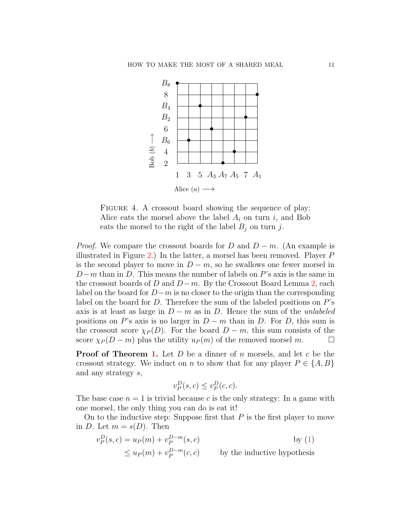

<span id="page-10-0"></span>FIGURE 4. A crossout board showing the sequence of play: Alice eats the morsel above the label  $A_i$  on turn i, and Bob eats the morsel to the right of the label  $B_j$  on turn j.

*Proof.* We compare the crossout boards for D and  $D - m$ . (An example is illustrated in Figure [2.](#page-6-0)) In the latter, a morsel has been removed. Player P is the second player to move in  $D - m$ , so he swallows one fewer morsel in  $D-m$  than in D. This means the number of labels on P's axis is the same in the crossout boards of D and  $D-m$ . By the Crossout Board Lemma [2,](#page-7-0) each label on the board for  $D-m$  is no closer to the origin than the corresponding label on the board for D. Therefore the sum of the labeled positions on P's axis is at least as large in  $D - m$  as in D. Hence the sum of the *unlabeled* positions on P's axis is no larger in  $D - m$  than in D. For D, this sum is the crossout score  $\chi_P(D)$ . For the board  $D - m$ , this sum consists of the score  $\chi_P (D - m)$  plus the utility  $u_P (m)$  of the removed morsel m.

**Proof of Theorem [1.](#page-3-0)** Let D be a dinner of n morsels, and let c be the crossout strategy. We induct on n to show that for any player  $P \in \{A, B\}$ and any strategy s,

$$
v_P^D(s,c) \le v_P^D(c,c).
$$

The base case  $n = 1$  is trivial because c is the only strategy: In a game with one morsel, the only thing you can do is eat it!

On to the inductive step: Suppose first that  $P$  is the first player to move in D. Let  $m = s(D)$ . Then

$$
v_P^D(s, c) = u_P(m) + v_P^{D-m}(s, c)
$$
 by (1)  

$$
\leq u_P(m) + v_P^{D-m}(c, c)
$$
 by the inductive hypothesis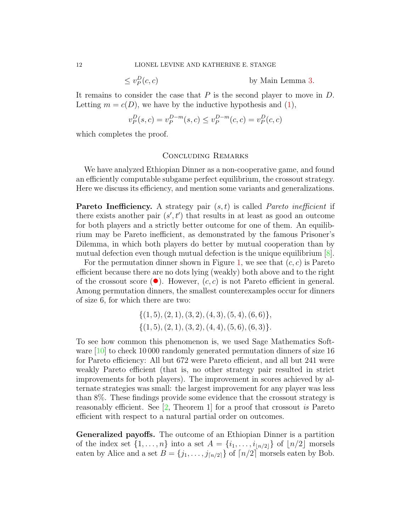$\leq v_P^D$ 

by Main Lemma [3.](#page-9-0)

It remains to consider the case that  $P$  is the second player to move in  $D$ . Letting  $m = c(D)$ , we have by the inductive hypothesis and [\(1\)](#page-5-0),

$$
v_P^D(s, c) = v_P^{D-m}(s, c) \le v_P^{D-m}(c, c) = v_P^D(c, c)
$$

which completes the proof.

### Concluding Remarks

We have analyzed Ethiopian Dinner as a non-cooperative game, and found an efficiently computable subgame perfect equilibrium, the crossout strategy. Here we discuss its efficiency, and mention some variants and generalizations.

**Pareto Inefficiency.** A strategy pair  $(s, t)$  is called *Pareto inefficient* if there exists another pair  $(s', t')$  that results in at least as good an outcome for both players and a strictly better outcome for one of them. An equilibrium may be Pareto inefficient, as demonstrated by the famous Prisoner's Dilemma, in which both players do better by mutual cooperation than by mutual defection even though mutual defection is the unique equilibrium [\[8\]](#page-16-2).

For the permutation dinner shown in Figure [1,](#page-2-0) we see that  $(c, c)$  is Pareto efficient because there are no dots lying (weakly) both above and to the right of the crossout score ( $\bullet$ ). However,  $(c, c)$  is not Pareto efficient in general. Among permutation dinners, the smallest counterexamples occur for dinners of size 6, for which there are two:

$$
\{(1,5), (2,1), (3,2), (4,3), (5,4), (6,6)\},\{(1,5), (2,1), (3,2), (4,4), (5,6), (6,3)\}.
$$

To see how common this phenomenon is, we used Sage Mathematics Soft-ware [\[10\]](#page-16-1) to check 10 000 randomly generated permutation dinners of size 16 for Pareto efficiency: All but 672 were Pareto efficient, and all but 241 were weakly Pareto efficient (that is, no other strategy pair resulted in strict improvements for both players). The improvement in scores achieved by alternate strategies was small: the largest improvement for any player was less than 8%. These findings provide some evidence that the crossout strategy is reasonably efficient. See  $[2,$  Theorem 1 for a proof that crossout is Pareto efficient with respect to a natural partial order on outcomes.

Generalized payoffs. The outcome of an Ethiopian Dinner is a partition of the index set  $\{1, \ldots, n\}$  into a set  $A = \{i_1, \ldots, i_{\lfloor n/2 \rfloor}\}\$  of  $\lfloor n/2 \rfloor$  morsels eaten by Alice and a set  $B = \{j_1, \ldots, j_{\lceil n/2 \rceil}\}\$  of  $\lceil n/2 \rceil$  morsels eaten by Bob.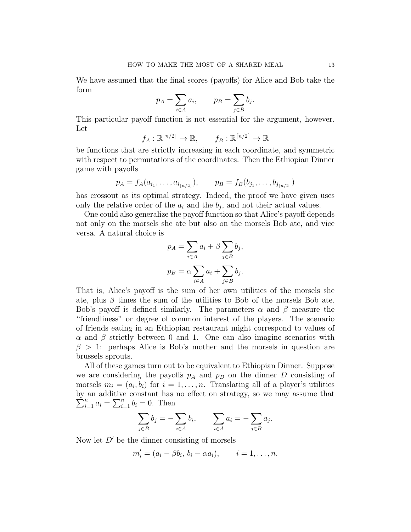We have assumed that the final scores (payoffs) for Alice and Bob take the form

$$
p_A = \sum_{i \in A} a_i, \qquad p_B = \sum_{j \in B} b_j.
$$

This particular payoff function is not essential for the argument, however. Let

$$
f_A: \mathbb{R}^{\lfloor n/2 \rfloor} \to \mathbb{R}, \qquad f_B: \mathbb{R}^{\lceil n/2 \rceil} \to \mathbb{R}
$$

be functions that are strictly increasing in each coordinate, and symmetric with respect to permutations of the coordinates. Then the Ethiopian Dinner game with payoffs

$$
p_A = f_A(a_{i_1}, \ldots, a_{i_{\lfloor n/2 \rfloor}}), \qquad p_B = f_B(b_{j_1}, \ldots, b_{j_{\lfloor n/2 \rfloor}})
$$

has crossout as its optimal strategy. Indeed, the proof we have given uses only the relative order of the  $a_i$  and the  $b_j$ , and not their actual values.

One could also generalize the payoff function so that Alice's payoff depends not only on the morsels she ate but also on the morsels Bob ate, and vice versa. A natural choice is

$$
p_A = \sum_{i \in A} a_i + \beta \sum_{j \in B} b_j,
$$
  

$$
p_B = \alpha \sum_{i \in A} a_i + \sum_{j \in B} b_j.
$$

That is, Alice's payoff is the sum of her own utilities of the morsels she ate, plus  $\beta$  times the sum of the utilities to Bob of the morsels Bob ate. Bob's payoff is defined similarly. The parameters  $\alpha$  and  $\beta$  measure the "friendliness" or degree of common interest of the players. The scenario of friends eating in an Ethiopian restaurant might correspond to values of  $\alpha$  and  $\beta$  strictly between 0 and 1. One can also imagine scenarios with  $\beta > 1$ : perhaps Alice is Bob's mother and the morsels in question are brussels sprouts.

All of these games turn out to be equivalent to Ethiopian Dinner. Suppose we are considering the payoffs  $p_A$  and  $p_B$  on the dinner D consisting of morsels  $m_i = (a_i, b_i)$  for  $i = 1, \ldots, n$ . Translating all of a player's utilities by an additive constant has no effect on strategy, so we may assume that  $\sum_{i=1}^{n} a_i = \sum_{i=1}^{n} b_i = 0$ . Then

$$
\sum_{j \in B} b_j = -\sum_{i \in A} b_i, \qquad \sum_{i \in A} a_i = -\sum_{j \in B} a_j.
$$

Now let  $D'$  be the dinner consisting of morsels

$$
m'_{i}=(a_{i}-\beta b_{i}, b_{i}-\alpha a_{i}), \qquad i=1,\ldots,n.
$$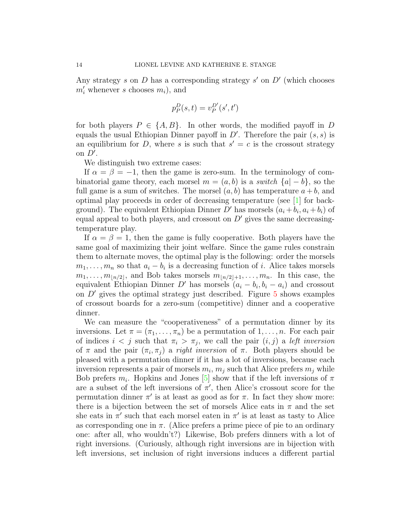Any strategy s on  $D$  has a corresponding strategy s' on  $D'$  (which chooses  $m'_i$  whenever s chooses  $m_i$ , and

$$
p_{\cal P}^D(s,t)=v_{\cal P}^{D'}(s',t')
$$

for both players  $P \in \{A, B\}$ . In other words, the modified payoff in D equals the usual Ethiopian Dinner payoff in  $D'$ . Therefore the pair  $(s, s)$  is an equilibrium for D, where s is such that  $s' = c$  is the crossout strategy on  $D'$ .

We distinguish two extreme cases:

If  $\alpha = \beta = -1$ , then the game is zero-sum. In the terminology of combinatorial game theory, each morsel  $m = (a, b)$  is a *switch*  $\{a | -b\}$ , so the full game is a sum of switches. The morsel  $(a, b)$  has temperature  $a + b$ , and optimal play proceeds in order of decreasing temperature (see [\[1\]](#page-16-6) for background). The equivalent Ethiopian Dinner  $D'$  has morsels  $(a_i + b_i, a_i + b_i)$  of equal appeal to both players, and crossout on  $D'$  gives the same decreasingtemperature play.

If  $\alpha = \beta = 1$ , then the game is fully cooperative. Both players have the same goal of maximizing their joint welfare. Since the game rules constrain them to alternate moves, the optimal play is the following: order the morsels  $m_1, \ldots, m_n$  so that  $a_i - b_i$  is a decreasing function of i. Alice takes morsels  $m_1, \ldots, m_{\lfloor n/2 \rfloor},$  and Bob takes morsels  $m_{\lfloor n/2 \rfloor+1}, \ldots, m_n$ . In this case, the equivalent Ethiopian Dinner D' has morsels  $(a_i - b_i, b_i - a_i)$  and crossout on  $D'$  gives the optimal strategy just described. Figure [5](#page-14-0) shows examples of crossout boards for a zero-sum (competitive) dinner and a cooperative dinner.

We can measure the "cooperativeness" of a permutation dinner by its inversions. Let  $\pi = (\pi_1, \ldots, \pi_n)$  be a permutation of  $1, \ldots, n$ . For each pair of indices  $i < j$  such that  $\pi_i > \pi_j$ , we call the pair  $(i, j)$  a left inversion of  $\pi$  and the pair  $(\pi_i, \pi_j)$  a *right inversion* of  $\pi$ . Both players should be pleased with a permutation dinner if it has a lot of inversions, because each inversion represents a pair of morsels  $m_i$ ,  $m_j$  such that Alice prefers  $m_j$  while Bob prefers  $m_i$ . Hopkins and Jones [\[5\]](#page-16-7) show that if the left inversions of  $\pi$ are a subset of the left inversions of  $\pi'$ , then Alice's crossout score for the permutation dinner  $\pi'$  is at least as good as for  $\pi$ . In fact they show more: there is a bijection between the set of morsels Alice eats in  $\pi$  and the set she eats in  $\pi'$  such that each morsel eaten in  $\pi'$  is at least as tasty to Alice as corresponding one in  $\pi$ . (Alice prefers a prime piece of pie to an ordinary one: after all, who wouldn't?) Likewise, Bob prefers dinners with a lot of right inversions. (Curiously, although right inversions are in bijection with left inversions, set inclusion of right inversions induces a different partial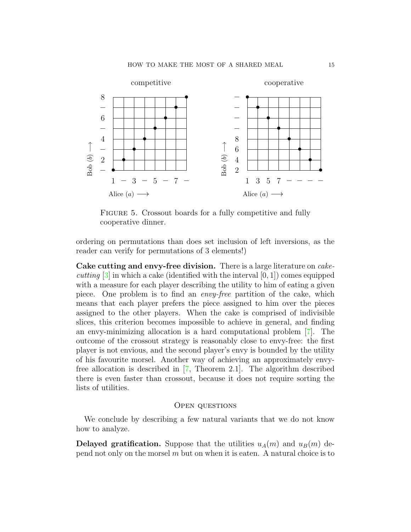

<span id="page-14-0"></span>FIGURE 5. Crossout boards for a fully competitive and fully cooperative dinner.

ordering on permutations than does set inclusion of left inversions, as the reader can verify for permutations of 3 elements!)

Cake cutting and envy-free division. There is a large literature on *cakecutting*  $[3]$  in which a cake (identified with the interval  $[0, 1]$ ) comes equipped with a measure for each player describing the utility to him of eating a given piece. One problem is to find an envy-free partition of the cake, which means that each player prefers the piece assigned to him over the pieces assigned to the other players. When the cake is comprised of indivisible slices, this criterion becomes impossible to achieve in general, and finding an envy-minimizing allocation is a hard computational problem [\[7\]](#page-16-9). The outcome of the crossout strategy is reasonably close to envy-free: the first player is not envious, and the second player's envy is bounded by the utility of his favourite morsel. Another way of achieving an approximately envyfree allocation is described in [\[7,](#page-16-9) Theorem 2.1]. The algorithm described there is even faster than crossout, because it does not require sorting the lists of utilities.

### Open questions

We conclude by describing a few natural variants that we do not know how to analyze.

**Delayed gratification.** Suppose that the utilities  $u_A(m)$  and  $u_B(m)$  depend not only on the morsel  $m$  but on when it is eaten. A natural choice is to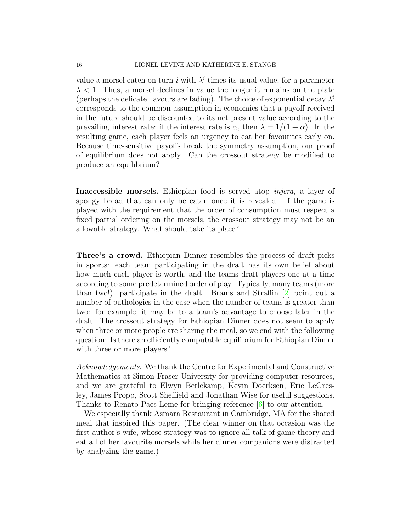value a morsel eaten on turn i with  $\lambda^i$  times its usual value, for a parameter  $\lambda$  < 1. Thus, a morsel declines in value the longer it remains on the plate (perhaps the delicate flavours are fading). The choice of exponential decay  $\lambda^i$ corresponds to the common assumption in economics that a payoff received in the future should be discounted to its net present value according to the prevailing interest rate: if the interest rate is  $\alpha$ , then  $\lambda = 1/(1 + \alpha)$ . In the resulting game, each player feels an urgency to eat her favourites early on. Because time-sensitive payoffs break the symmetry assumption, our proof of equilibrium does not apply. Can the crossout strategy be modified to produce an equilibrium?

Inaccessible morsels. Ethiopian food is served atop injera, a layer of spongy bread that can only be eaten once it is revealed. If the game is played with the requirement that the order of consumption must respect a fixed partial ordering on the morsels, the crossout strategy may not be an allowable strategy. What should take its place?

Three's a crowd. Ethiopian Dinner resembles the process of draft picks in sports: each team participating in the draft has its own belief about how much each player is worth, and the teams draft players one at a time according to some predetermined order of play. Typically, many teams (more than two!) participate in the draft. Brams and Straffin [\[2\]](#page-16-5) point out a number of pathologies in the case when the number of teams is greater than two: for example, it may be to a team's advantage to choose later in the draft. The crossout strategy for Ethiopian Dinner does not seem to apply when three or more people are sharing the meal, so we end with the following question: Is there an efficiently computable equilibrium for Ethiopian Dinner with three or more players?

Acknowledgements. We thank the Centre for Experimental and Constructive Mathematics at Simon Fraser University for providing computer resources, and we are grateful to Elwyn Berlekamp, Kevin Doerksen, Eric LeGresley, James Propp, Scott Sheffield and Jonathan Wise for useful suggestions. Thanks to Renato Paes Leme for bringing reference [\[6\]](#page-16-0) to our attention.

We especially thank Asmara Restaurant in Cambridge, MA for the shared meal that inspired this paper. (The clear winner on that occasion was the first author's wife, whose strategy was to ignore all talk of game theory and eat all of her favourite morsels while her dinner companions were distracted by analyzing the game.)